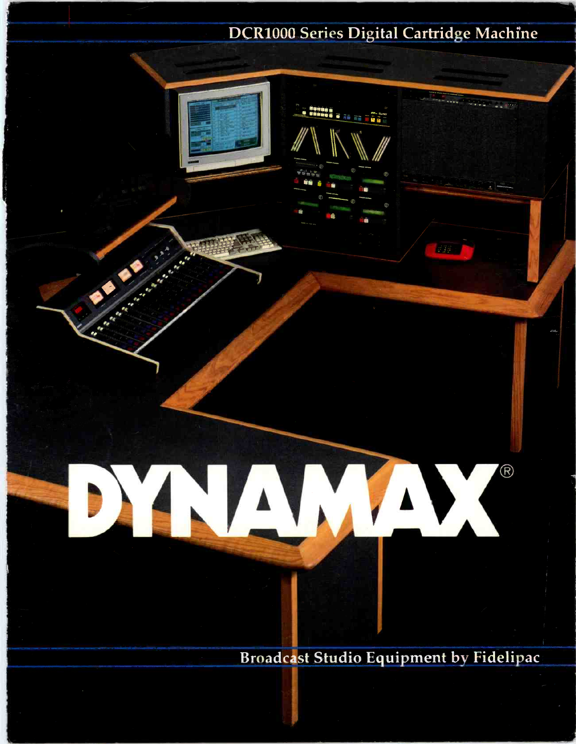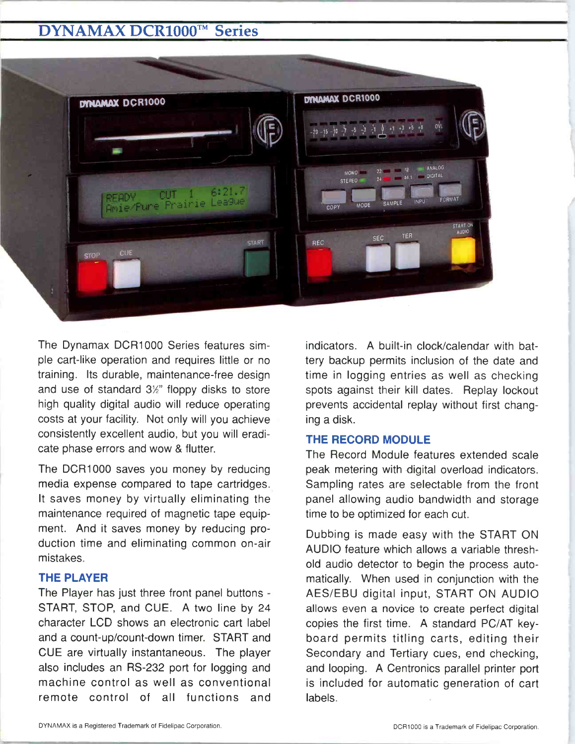# **DYNAMAX DCR1000™ Series**



The Dynamax DCR1000 Series features simple cart -like operation and requires little or no training. Its durable, maintenance -free design and use of standard  $3\frac{1}{2}$ " floppy disks to store high quality digital audio will reduce operating costs at your facility. Not only will you achieve consistently excellent audio, but you will eradicate phase errors and wow & flutter.

The DCR1000 saves you money by reducing media expense compared to tape cartridges. It saves money by virtually eliminating the maintenance required of magnetic tape equipment. And it saves money by reducing production time and eliminating common on -air mistakes.

# THE PLAYER

The Player has just three front panel buttons - START, STOP, and CUE. A two line by 24 character LCD shows an electronic cart label and a count-up/count-down timer. START and CUE are virtually instantaneous. The player also includes an RS -232 port for logging and machine control as well as conventional remote control of all functions and indicators. A built-in clock/calendar with battery backup permits inclusion of the date and time in logging entries as well as checking spots against their kill dates. Replay lockout prevents accidental replay without first changing a disk.

# THE RECORD MODULE

The Record Module features extended scale peak metering with digital overload indicators. Sampling rates are selectable from the front panel allowing audio bandwidth and storage time to be optimized for each cut.

Dubbing is made easy with the START ON AUDIO feature which allows a variable threshold audio detector to begin the process automatically. When used in conjunction with the AES/EBU digital input, START ON AUDIO allows even a novice to create perfect digital copies the first time. A standard PC/AT keyboard permits titling carts, editing their Secondary and Tertiary cues, end checking, and looping. A Centronics parallel printer port is included for automatic generation of cart labels.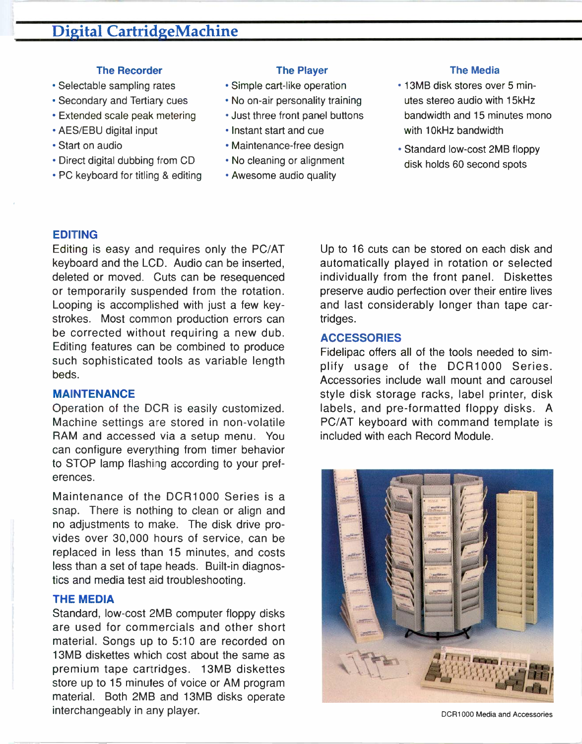#### The Recorder

- Selectable sampling rates
- Secondary and Tertiary cues
- Extended scale peak metering
- AES/EBU digital input
- Start on audio
- Direct digital dubbing from CD
- PC keyboard for titling & editing

#### The Player

- Simple cart -like operation
- No on-air personality training
- Just three front panel buttons
- Instant start and cue
- Maintenance -free design
- No cleaning or alignment
- Awesome audio quality

#### The Media

- 13MB disk stores over 5 minutes stereo audio with 15kHz bandwidth and 15 minutes mono with 10kHz bandwidth
- Standard low-cost 2MB floppy disk holds 60 second spots

#### EDITING

Editing is easy and requires only the PC/AT keyboard and the LCD. Audio can be inserted, deleted or moved. Cuts can be resequenced or temporarily suspended from the rotation. Looping is accomplished with just a few keystrokes. Most common production errors can be corrected without requiring a new dub. Editing features can be combined to produce such sophisticated tools as variable length beds.

# MAINTENANCE

Operation of the DCR is easily customized. Machine settings are stored in non-volatile RAM and accessed via a setup menu. You can configure everything from timer behavior to STOP lamp flashing according to your preferences.

Maintenance of the DCR1000 Series is a snap. There is nothing to clean or align and no adjustments to make. The disk drive provides over 30,000 hours of service, can be replaced in less than 15 minutes, and costs less than a set of tape heads. Built-in diagnostics and media test aid troubleshooting.

# THE MEDIA

Standard, low-cost 2MB computer floppy disks are used for commercials and other short material. Songs up to 5:10 are recorded on 13MB diskettes which cost about the same as premium tape cartridges. 13MB diskettes store up to 15 minutes of voice or AM program material. Both 2MB and 13MB disks operate interchangeably in any player.

Up to 16 cuts can be stored on each disk and automatically played in rotation or selected individually from the front panel. Diskettes preserve audio perfection over their entire lives and last considerably longer than tape cartridges.

#### ACCESSORIES

Fidelipac offers all of the tools needed to simplify usage of the DCR1000 Series. Accessories include wall mount and carousel style disk storage racks, label printer, disk labels, and pre -formatted floppy disks. A PC/AT keyboard with command template is included with each Record Module.



DCR1000 Media and Accessories